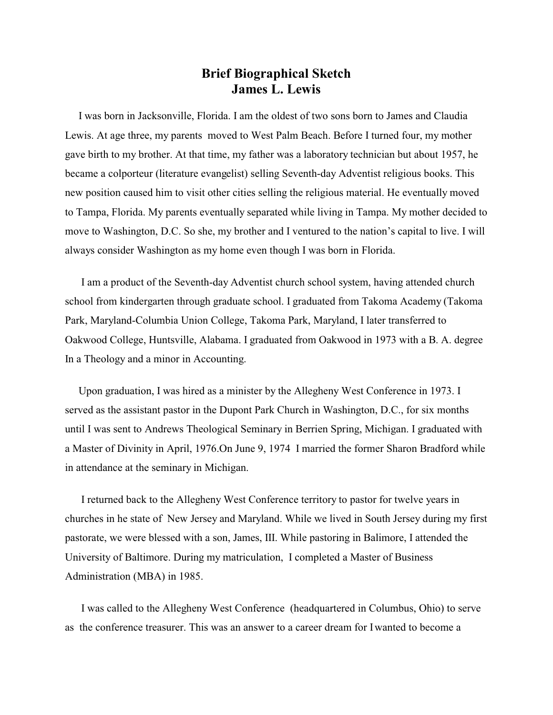## **Brief Biographical Sketch James L. Lewis**

 I was born in Jacksonville, Florida. I am the oldest of two sons born to James and Claudia Lewis. At age three, my parents moved to West Palm Beach. Before I turned four, my mother gave birth to my brother. At that time, my father was a laboratory technician but about 1957, he became a colporteur (literature evangelist) selling Seventh-day Adventist religious books. This new position caused him to visit other cities selling the religious material. He eventually moved to Tampa, Florida. My parents eventually separated while living in Tampa. My mother decided to move to Washington, D.C. So she, my brother and I ventured to the nation's capital to live. I will always consider Washington as my home even though I was born in Florida.

 I am a product of the Seventh-day Adventist church school system, having attended church school from kindergarten through graduate school. I graduated from Takoma Academy (Takoma Park, Maryland-Columbia Union College, Takoma Park, Maryland, I later transferred to Oakwood College, Huntsville, Alabama. I graduated from Oakwood in 1973 with a B. A. degree In a Theology and a minor in Accounting.

 Upon graduation, I was hired as a minister by the Allegheny West Conference in 1973. I served as the assistant pastor in the Dupont Park Church in Washington, D.C., for six months until I was sent to Andrews Theological Seminary in Berrien Spring, Michigan. I graduated with a Master of Divinity in April, 1976.On June 9, 1974 I married the former Sharon Bradford while in attendance at the seminary in Michigan.

 I returned back to the Allegheny West Conference territory to pastor for twelve years in churches in he state of New Jersey and Maryland. While we lived in South Jersey during my first pastorate, we were blessed with a son, James, III. While pastoring in Balimore, I attended the University of Baltimore. During my matriculation, I completed a Master of Business Administration (MBA) in 1985.

 I was called to the Allegheny West Conference (headquartered in Columbus, Ohio) to serve as the conference treasurer. This was an answer to a career dream for I wanted to become a